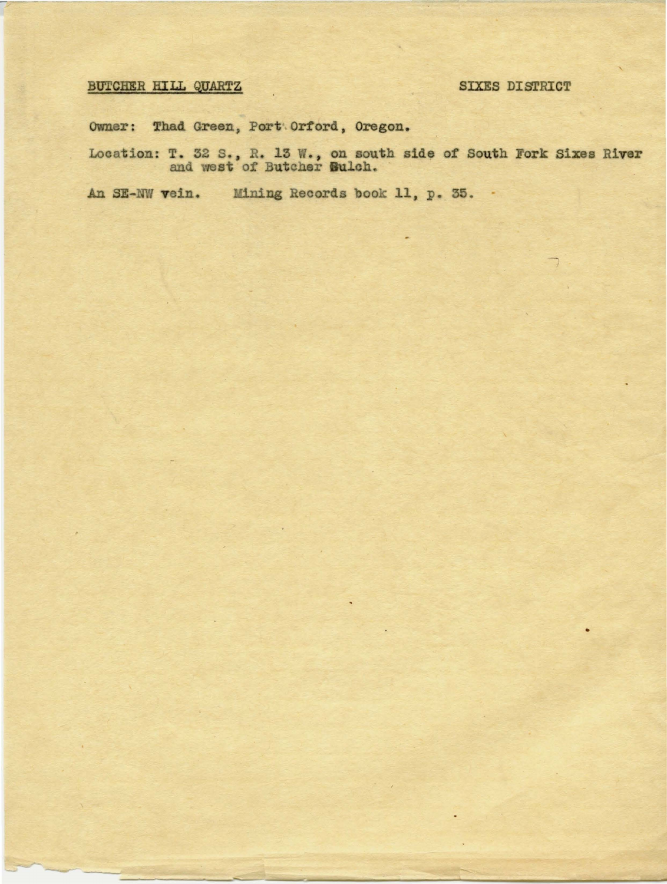## BUTCHER HILL QUARTZ

## **SIXES DISTRICT**

Owner: Thad Green, Port Orford, Oregon.

Location: T. 32 S., R. 13 W., on south side of South Fork Sixes River and west of Butcher Sulch.

An SE-NW vein. Mining Records book 11, p. 35. .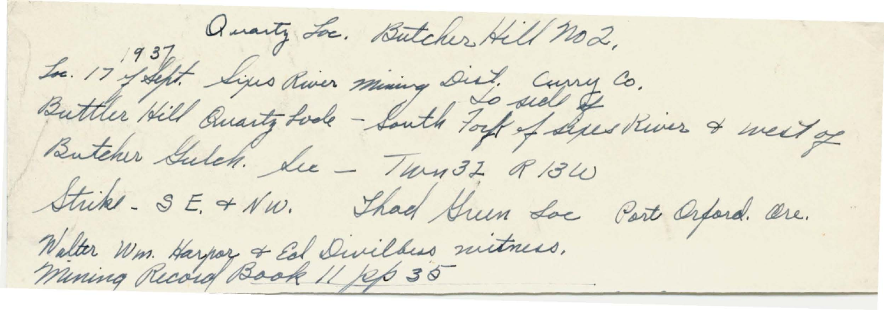Quarty Los. Butcher Hill no2. Le 17 filst Lins River mining Dist. Courry Co. Butcher Gulch. Lee - Twy 32, R 13W Strike- SE. + NW. Thad Green Loe Part Orford. Ore. Walter Wm. Harpor & Ed Divilbus mitness.<br>Mining Record Book 11 106 35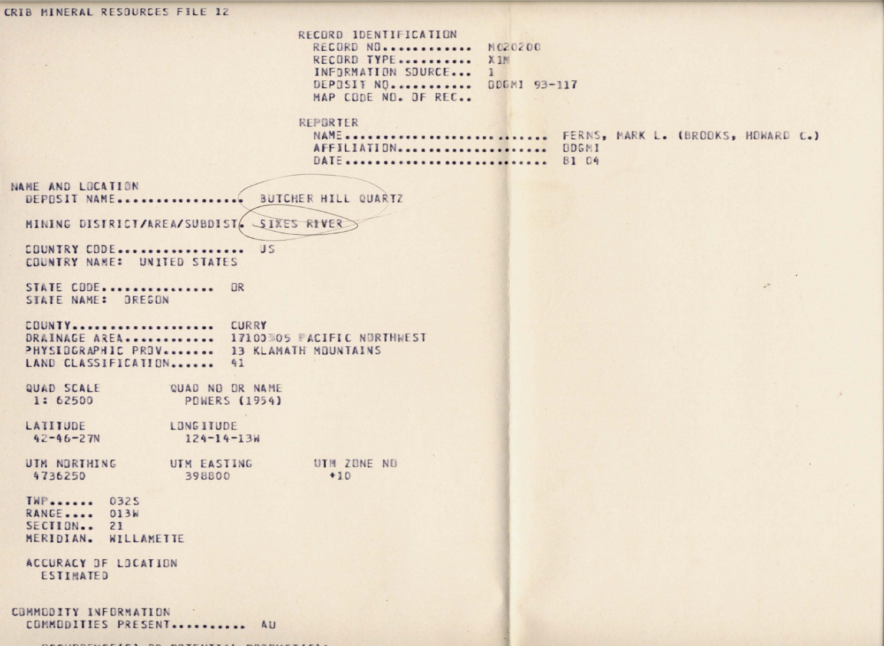CRIB MINERAL RESOURCES FILE 12 RECORD IDENTIFICATION RECORD NO............ M020200 RECORD TYPE........... XIM INFORMATION SOURCE... 1 DEPOSIT NO. ........... DDGMI 93-117 MAP CODE NO. OF REC. REPORTER NAME............................ FERNS, MARK L. (BROOKS, HOWARD C.) AFFILIATION..................... ODGMI DATE ............................... 81 04 NAME AND LOCATION BUTCHER HILL QUARTZ DEPOSIT NAME...... MINING DISTRICT/AREA/SUBDIST/ SIXES RIVER COUNTRY CODE.................. US COUNTRY NAME: UNITED STATES STATE CODE................ OR STATE NAME: OREGON COUNTY.................... CURRY DRAINAGE AREA............. 17100305 PACIFIC NORTHWEST PHYSIOGRAPHIC PROV........ 13 KLAMATH MOUNTAINS LAND CLASSIFICATION....... 41 QUAD SCALE QUAD NO OR NAME 1: 62500 **POWERS (1954)** LATITUDE **LONGITUDE**  $42 - 46 - 27N$  $124 - 14 - 13W$ UIM NORTHING UTM EASTING UTH ZONE NO 4736250 398800  $+10$ TWP....... 0325 RANGE.... 013W SECTION.. 21 MERIDIAN. WILLAMETTE ACCURACY DF LOCATION ESTIMATED COMMODITY INFORMATION COMMODITIES PRESENT ........... AU

CARLINGTHAFINE OR CONTRACTOR CARDIOLERY